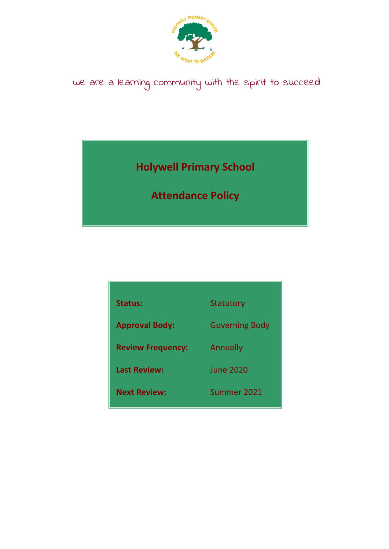

# we are a learning community with the spirit to succeed

**Holywell Primary School**

**Attendance Policy**

| <b>Status:</b>           | Statutory             |
|--------------------------|-----------------------|
| <b>Approval Body:</b>    | <b>Governing Body</b> |
| <b>Review Frequency:</b> | Annually              |
| <b>Last Review:</b>      | <b>June 2020</b>      |
| <b>Next Review:</b>      | Summer 2021           |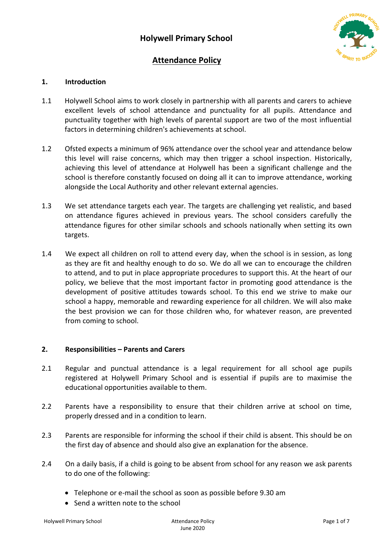

## **Attendance Policy**

## **1. Introduction**

- 1.1 Holywell School aims to work closely in partnership with all parents and carers to achieve excellent levels of school attendance and punctuality for all pupils. Attendance and punctuality together with high levels of parental support are two of the most influential factors in determining children's achievements at school.
- 1.2 Ofsted expects a minimum of 96% attendance over the school year and attendance below this level will raise concerns, which may then trigger a school inspection. Historically, achieving this level of attendance at Holywell has been a significant challenge and the school is therefore constantly focused on doing all it can to improve attendance, working alongside the Local Authority and other relevant external agencies.
- 1.3 We set attendance targets each year. The targets are challenging yet realistic, and based on attendance figures achieved in previous years. The school considers carefully the attendance figures for other similar schools and schools nationally when setting its own targets.
- 1.4 We expect all children on roll to attend every day, when the school is in session, as long as they are fit and healthy enough to do so. We do all we can to encourage the children to attend, and to put in place appropriate procedures to support this. At the heart of our policy, we believe that the most important factor in promoting good attendance is the development of positive attitudes towards school. To this end we strive to make our school a happy, memorable and rewarding experience for all children. We will also make the best provision we can for those children who, for whatever reason, are prevented from coming to school.

#### **2. Responsibilities – Parents and Carers**

- 2.1 Regular and punctual attendance is a legal requirement for all school age pupils registered at Holywell Primary School and is essential if pupils are to maximise the educational opportunities available to them.
- 2.2 Parents have a responsibility to ensure that their children arrive at school on time, properly dressed and in a condition to learn.
- 2.3 Parents are responsible for informing the school if their child is absent. This should be on the first day of absence and should also give an explanation for the absence.
- 2.4 On a daily basis, if a child is going to be absent from school for any reason we ask parents to do one of the following:
	- Telephone or e-mail the school as soon as possible before 9.30 am
	- Send a written note to the school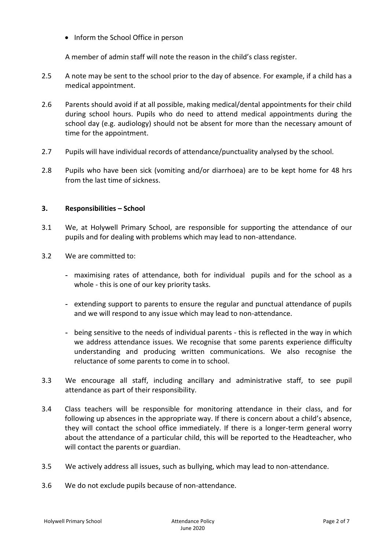• Inform the School Office in person

A member of admin staff will note the reason in the child's class register.

- 2.5 A note may be sent to the school prior to the day of absence. For example, if a child has a medical appointment.
- 2.6 Parents should avoid if at all possible, making medical/dental appointments for their child during school hours. Pupils who do need to attend medical appointments during the school day (e.g. audiology) should not be absent for more than the necessary amount of time for the appointment.
- 2.7 Pupils will have individual records of attendance/punctuality analysed by the school.
- 2.8 Pupils who have been sick (vomiting and/or diarrhoea) are to be kept home for 48 hrs from the last time of sickness.

#### **3. Responsibilities – School**

- 3.1 We, at Holywell Primary School, are responsible for supporting the attendance of our pupils and for dealing with problems which may lead to non-attendance.
- 3.2 We are committed to:
	- **-** maximising rates of attendance, both for individual pupils and for the school as a whole - this is one of our key priority tasks.
	- **-** extending support to parents to ensure the regular and punctual attendance of pupils and we will respond to any issue which may lead to non-attendance.
	- **-** being sensitive to the needs of individual parents this is reflected in the way in which we address attendance issues. We recognise that some parents experience difficulty understanding and producing written communications. We also recognise the reluctance of some parents to come in to school.
- 3.3 We encourage all staff, including ancillary and administrative staff, to see pupil attendance as part of their responsibility.
- 3.4 Class teachers will be responsible for monitoring attendance in their class, and for following up absences in the appropriate way. If there is concern about a child's absence, they will contact the school office immediately. If there is a longer-term general worry about the attendance of a particular child, this will be reported to the Headteacher, who will contact the parents or guardian.
- 3.5 We actively address all issues, such as bullying, which may lead to non-attendance.
- 3.6 We do not exclude pupils because of non-attendance.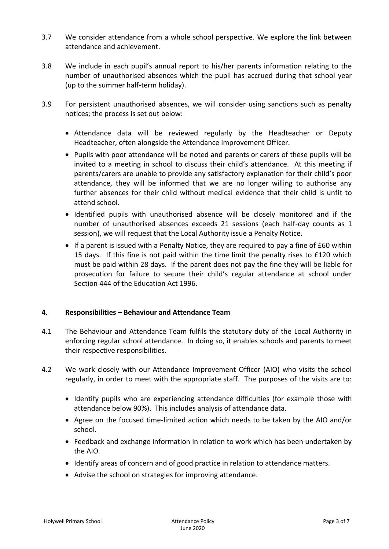- 3.7 We consider attendance from a whole school perspective. We explore the link between attendance and achievement.
- 3.8 We include in each pupil's annual report to his/her parents information relating to the number of unauthorised absences which the pupil has accrued during that school year (up to the summer half-term holiday).
- 3.9 For persistent unauthorised absences, we will consider using sanctions such as penalty notices; the process is set out below:
	- Attendance data will be reviewed regularly by the Headteacher or Deputy Headteacher, often alongside the Attendance Improvement Officer.
	- Pupils with poor attendance will be noted and parents or carers of these pupils will be invited to a meeting in school to discuss their child's attendance. At this meeting if parents/carers are unable to provide any satisfactory explanation for their child's poor attendance, they will be informed that we are no longer willing to authorise any further absences for their child without medical evidence that their child is unfit to attend school.
	- Identified pupils with unauthorised absence will be closely monitored and if the number of unauthorised absences exceeds 21 sessions (each half-day counts as 1 session), we will request that the Local Authority issue a Penalty Notice.
	- If a parent is issued with a Penalty Notice, they are required to pay a fine of £60 within 15 days. If this fine is not paid within the time limit the penalty rises to £120 which must be paid within 28 days. If the parent does not pay the fine they will be liable for prosecution for failure to secure their child's regular attendance at school under Section 444 of the Education Act 1996.

## **4. Responsibilities – Behaviour and Attendance Team**

- 4.1 The Behaviour and Attendance Team fulfils the statutory duty of the Local Authority in enforcing regular school attendance. In doing so, it enables schools and parents to meet their respective responsibilities.
- 4.2 We work closely with our Attendance Improvement Officer (AIO) who visits the school regularly, in order to meet with the appropriate staff. The purposes of the visits are to:
	- Identify pupils who are experiencing attendance difficulties (for example those with attendance below 90%). This includes analysis of attendance data.
	- Agree on the focused time-limited action which needs to be taken by the AIO and/or school.
	- Feedback and exchange information in relation to work which has been undertaken by the AIO.
	- Identify areas of concern and of good practice in relation to attendance matters.
	- Advise the school on strategies for improving attendance.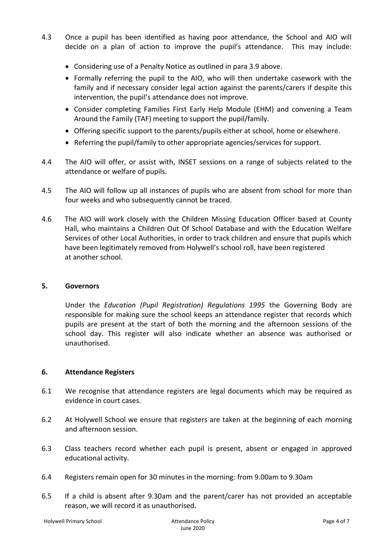- 4.3 Once a pupil has been identified as having poor attendance, the School and AIO will decide on a plan of action to improve the pupil's attendance. This may include:
	- Considering use of a Penalty Notice as outlined in para 3.9 above.
	- Formally referring the pupil to the AIO, who will then undertake casework with the family and if necessary consider legal action against the parents/carers if despite this intervention, the pupil's attendance does not improve.
	- Consider completing Families First Early Help Module (EHM) and convening a Team Around the Family (TAF) meeting to support the pupil/family.
	- Offering specific support to the parents/pupils either at school, home or elsewhere.
	- Referring the pupil/family to other appropriate agencies/services for support.
- 4.4 The AIO will offer, or assist with, INSET sessions on a range of subjects related to the attendance or welfare of pupils.
- 4.5 The AIO will follow up all instances of pupils who are absent from school for more than four weeks and who subsequently cannot be traced.
- 4.6 The AIO will work closely with the Children Missing Education Officer based at County Hall, who maintains a Children Out Of School Database and with the Education Welfare Services of other Local Authorities, in order to track children and ensure that pupils which have been legitimately removed from Holywell's school roll, have been registered at another school.

#### **5. Governors**

Under the *Education (Pupil Registration) Regulations 1995* the Governing Body are responsible for making sure the school keeps an attendance register that records which pupils are present at the start of both the morning and the afternoon sessions of the school day. This register will also indicate whether an absence was authorised or unauthorised.

#### **6. Attendance Registers**

- 6.1 We recognise that attendance registers are legal documents which may be required as evidence in court cases.
- 6.2 At Holywell School we ensure that registers are taken at the beginning of each morning and afternoon session.
- 6.3 Class teachers record whether each pupil is present, absent or engaged in approved educational activity.
- 6.4 Registers remain open for 30 minutes in the morning: from 9.00am to 9.30am
- 6.5 If a child is absent after 9.30am and the parent/carer has not provided an acceptable reason, we will record it as unauthorised.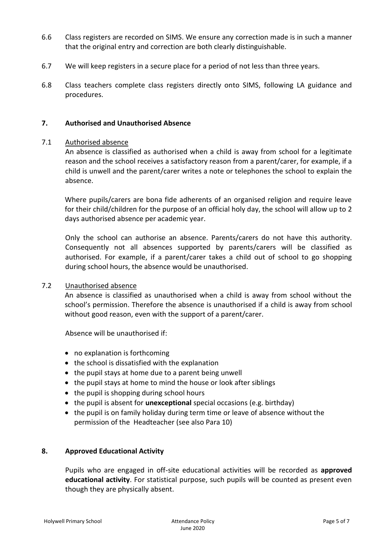- 6.6 Class registers are recorded on SIMS. We ensure any correction made is in such a manner that the original entry and correction are both clearly distinguishable.
- 6.7 We will keep registers in a secure place for a period of not less than three years.
- 6.8 Class teachers complete class registers directly onto SIMS, following LA guidance and procedures.

#### **7. Authorised and Unauthorised Absence**

#### 7.1 Authorised absence

An absence is classified as authorised when a child is away from school for a legitimate reason and the school receives a satisfactory reason from a parent/carer, for example, if a child is unwell and the parent/carer writes a note or telephones the school to explain the absence.

Where pupils/carers are bona fide adherents of an organised religion and require leave for their child/children for the purpose of an official holy day, the school will allow up to 2 days authorised absence per academic year.

Only the school can authorise an absence. Parents/carers do not have this authority. Consequently not all absences supported by parents/carers will be classified as authorised. For example, if a parent/carer takes a child out of school to go shopping during school hours, the absence would be unauthorised.

#### 7.2 Unauthorised absence

An absence is classified as unauthorised when a child is away from school without the school's permission. Therefore the absence is unauthorised if a child is away from school without good reason, even with the support of a parent/carer.

Absence will be unauthorised if:

- no explanation is forthcoming
- the school is dissatisfied with the explanation
- the pupil stays at home due to a parent being unwell
- the pupil stays at home to mind the house or look after siblings
- the pupil is shopping during school hours
- the pupil is absent for **unexceptional** special occasions (e.g. birthday)
- the pupil is on family holiday during term time or leave of absence without the permission of the Headteacher (see also Para 10)

#### **8. Approved Educational Activity**

Pupils who are engaged in off-site educational activities will be recorded as **approved educational activity**. For statistical purpose, such pupils will be counted as present even though they are physically absent.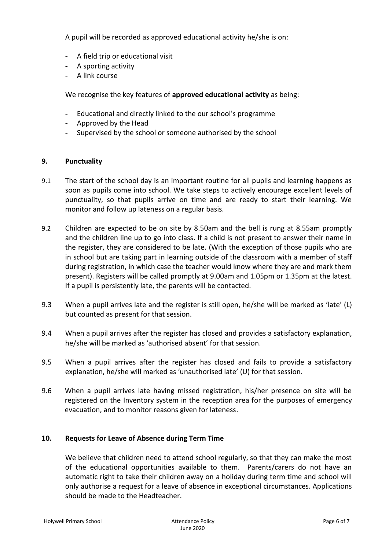A pupil will be recorded as approved educational activity he/she is on:

- **-** A field trip or educational visit
- **-** A sporting activity
- **-** A link course

We recognise the key features of **approved educational activity** as being:

- **-** Educational and directly linked to the our school's programme
- **-** Approved by the Head
- **-** Supervised by the school or someone authorised by the school

#### **9. Punctuality**

- 9.1 The start of the school day is an important routine for all pupils and learning happens as soon as pupils come into school. We take steps to actively encourage excellent levels of punctuality, so that pupils arrive on time and are ready to start their learning. We monitor and follow up lateness on a regular basis.
- 9.2 Children are expected to be on site by 8.50am and the bell is rung at 8.55am promptly and the children line up to go into class. If a child is not present to answer their name in the register, they are considered to be late. (With the exception of those pupils who are in school but are taking part in learning outside of the classroom with a member of staff during registration, in which case the teacher would know where they are and mark them present). Registers will be called promptly at 9.00am and 1.05pm or 1.35pm at the latest. If a pupil is persistently late, the parents will be contacted.
- 9.3 When a pupil arrives late and the register is still open, he/she will be marked as 'late' (L) but counted as present for that session.
- 9.4 When a pupil arrives after the register has closed and provides a satisfactory explanation, he/she will be marked as 'authorised absent' for that session.
- 9.5 When a pupil arrives after the register has closed and fails to provide a satisfactory explanation, he/she will marked as 'unauthorised late' (U) for that session.
- 9.6 When a pupil arrives late having missed registration, his/her presence on site will be registered on the Inventory system in the reception area for the purposes of emergency evacuation, and to monitor reasons given for lateness.

#### **10. Requests for Leave of Absence during Term Time**

We believe that children need to attend school regularly, so that they can make the most of the educational opportunities available to them. Parents/carers do not have an automatic right to take their children away on a holiday during term time and school will only authorise a request for a leave of absence in exceptional circumstances. Applications should be made to the Headteacher.